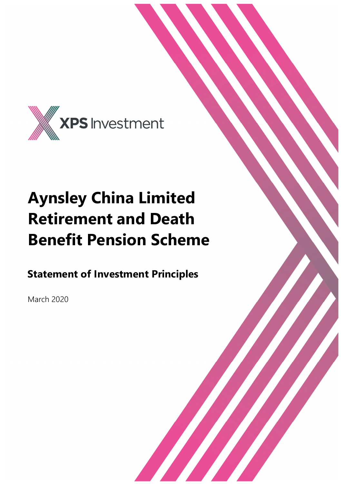

# **Aynsley China Limited Retirement and Death Benefit Pension Scheme**

**Statement of Investment Principles**

March 2020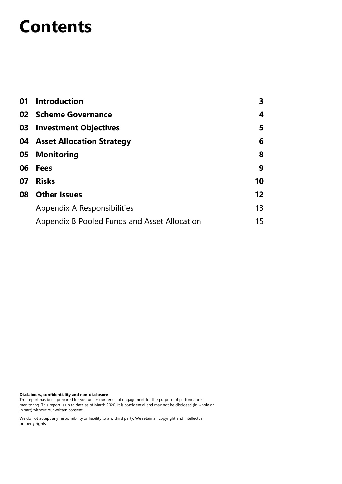## **Contents**

|    | 01 Introduction                              | 3                 |
|----|----------------------------------------------|-------------------|
|    | 02 Scheme Governance                         | 4                 |
|    | 03 Investment Objectives                     | 5                 |
|    | 04 Asset Allocation Strategy                 | 6                 |
|    | 05 Monitoring                                | 8                 |
|    | 06 Fees                                      | 9                 |
| 07 | <b>Risks</b>                                 | 10                |
|    | 08 Other Issues                              | $12 \overline{ }$ |
|    | Appendix A Responsibilities                  | 13                |
|    | Appendix B Pooled Funds and Asset Allocation | 15                |

**Disclaimers, confidentiality and non-disclosure**

This report has been prepared for you under our terms of engagement for the purpose of performance monitoring. This report is up to date as of March 2020. It is confidential and may not be disclosed (in whole or in part) without our written consent.

We do not accept any responsibility or liability to any third party. We retain all copyright and intellectual property rights.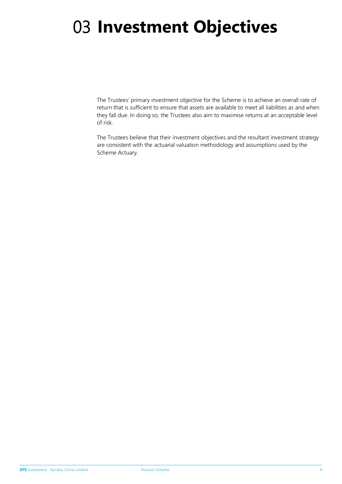# 03 **Investment Objectives**

The Trustees' primary investment objective for the Scheme is to achieve an overall rate of return that is sufficient to ensure that assets are available to meet all liabilities as and when they fall due. In doing so, the Trustees also aim to maximise returns at an acceptable level of risk.

The Trustees believe that their investment objectives and the resultant investment strategy are consistent with the actuarial valuation methodology and assumptions used by the Scheme Actuary.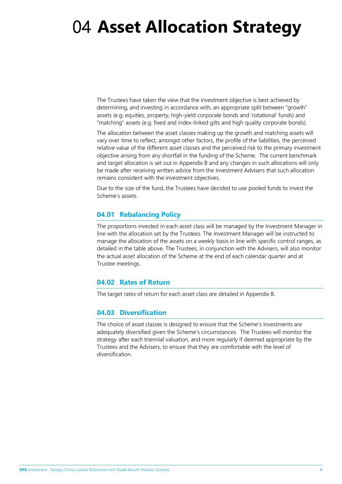# 04 **Asset Allocation Strategy**

The Trustees have taken the view that the investment objective is best achieved by determining, and investing in accordance with, an appropriate split between "growth" assets (e.g. equities, property, high-yield corporate bonds and 'rotational' funds) and "matching" assets (e.g. fixed and index-linked gilts and high quality corporate bonds).

The allocation between the asset classes making up the growth and matching assets will vary over time to reflect, amongst other factors, the profile of the liabilities, the perceived relative value of the different asset classes and the perceived risk to the primary investment objective arising from any shortfall in the funding of the Scheme. The current benchmark and target allocation is set out in Appendix B and any changes in such allocations will only be made after receiving written advice from the Investment Advisers that such allocation remains consistent with the investment objectives.

Due to the size of the fund, the Trustees have decided to use pooled funds to invest the Scheme's assets.

#### **04.01 Rebalancing Policy**

The proportions invested in each asset class will be managed by the Investment Manager in line with the allocation set by the Trustees. The Investment Manager will be instructed to manage the allocation of the assets on a weekly basis in line with specific control ranges, as detailed in the table above. The Trustees, in conjunction with the Advisers, will also monitor the actual asset allocation of the Scheme at the end of each calendar quarter and at Trustee meetings.

#### **04.02 Rates of Return**

The target rates of return for each asset class are detailed in Appendix B.

#### **04.03 Diversification**

The choice of asset classes is designed to ensure that the Scheme's investments are adequately diversified given the Scheme's circumstances. The Trustees will monitor the strategy after each triennial valuation, and more regularly if deemed appropriate by the Trustees and the Advisers, to ensure that they are comfortable with the level of diversification.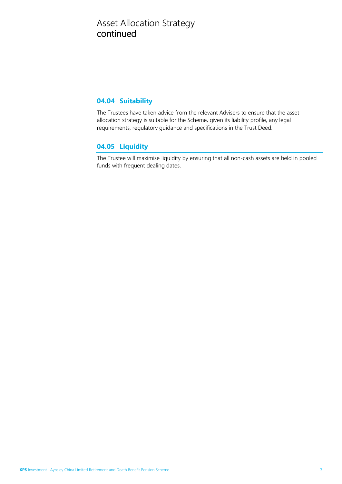### Asset Allocation Strategy continued

#### **04.04 Suitability**

The Trustees have taken advice from the relevant Advisers to ensure that the asset allocation strategy is suitable for the Scheme, given its liability profile, any legal requirements, regulatory guidance and specifications in the Trust Deed.

#### **04.05 Liquidity**

The Trustee will maximise liquidity by ensuring that all non-cash assets are held in pooled funds with frequent dealing dates.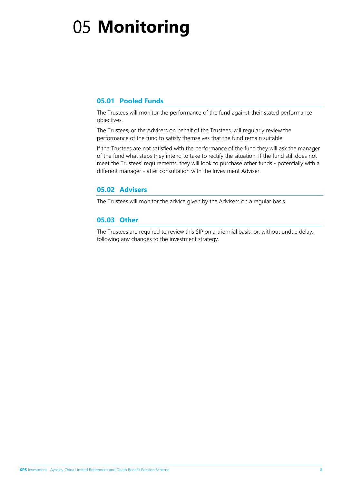# 05 **Monitoring**

#### **05.01 Pooled Funds**

The Trustees will monitor the performance of the fund against their stated performance objectives.

The Trustees, or the Advisers on behalf of the Trustees, will regularly review the performance of the fund to satisfy themselves that the fund remain suitable.

If the Trustees are not satisfied with the performance of the fund they will ask the manager of the fund what steps they intend to take to rectify the situation. If the fund still does not meet the Trustees' requirements, they will look to purchase other funds - potentially with a different manager - after consultation with the Investment Adviser.

#### **05.02 Advisers**

The Trustees will monitor the advice given by the Advisers on a regular basis.

#### **05.03 Other**

The Trustees are required to review this SIP on a triennial basis, or, without undue delay, following any changes to the investment strategy.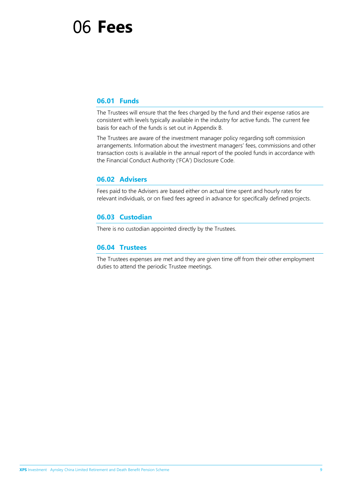### 06 **Fees**

#### **06.01 Funds**

The Trustees will ensure that the fees charged by the fund and their expense ratios are consistent with levels typically available in the industry for active funds. The current fee basis for each of the funds is set out in Appendix B.

The Trustees are aware of the investment manager policy regarding soft commission arrangements. Information about the investment managers' fees, commissions and other transaction costs is available in the annual report of the pooled funds in accordance with the Financial Conduct Authority ('FCA') Disclosure Code.

#### **06.02 Advisers**

Fees paid to the Advisers are based either on actual time spent and hourly rates for relevant individuals, or on fixed fees agreed in advance for specifically defined projects.

#### **06.03 Custodian**

There is no custodian appointed directly by the Trustees.

#### **06.04 Trustees**

The Trustees expenses are met and they are given time off from their other employment duties to attend the periodic Trustee meetings.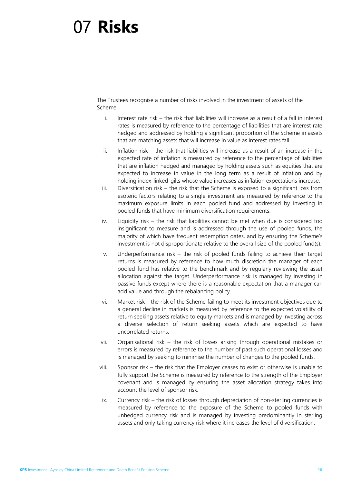## 07 **Risks**

The Trustees recognise a number of risks involved in the investment of assets of the Scheme:

- i. Interest rate risk the risk that liabilities will increase as a result of a fall in interest rates is measured by reference to the percentage of liabilities that are interest rate hedged and addressed by holding a significant proportion of the Scheme in assets that are matching assets that will increase in value as interest rates fall.
- ii. Inflation risk the risk that liabilities will increase as a result of an increase in the expected rate of inflation is measured by reference to the percentage of liabilities that are inflation hedged and managed by holding assets such as equities that are expected to increase in value in the long term as a result of inflation and by holding index-linked-gilts whose value increases as inflation expectations increase.
- iii. Diversification risk the risk that the Scheme is exposed to a significant loss from esoteric factors relating to a single investment are measured by reference to the maximum exposure limits in each pooled fund and addressed by investing in pooled funds that have minimum diversification requirements.
- iv. Liquidity risk the risk that liabilities cannot be met when due is considered too insignificant to measure and is addressed through the use of pooled funds, the majority of which have frequent redemption dates, and by ensuring the Scheme's investment is not disproportionate relative to the overall size of the pooled fund(s).
- v. Underperformance risk the risk of pooled funds failing to achieve their target returns is measured by reference to how much discretion the manager of each pooled fund has relative to the benchmark and by regularly reviewing the asset allocation against the target. Underperformance risk is managed by investing in passive funds except where there is a reasonable expectation that a manager can add value and through the rebalancing policy.
- vi. Market risk the risk of the Scheme failing to meet its investment objectives due to a general decline in markets is measured by reference to the expected volatility of return seeking assets relative to equity markets and is managed by investing across a diverse selection of return seeking assets which are expected to have uncorrelated returns.
- vii. Organisational risk the risk of losses arising through operational mistakes or errors is measured by reference to the number of past such operational losses and is managed by seeking to minimise the number of changes to the pooled funds.
- viii. Sponsor risk the risk that the Employer ceases to exist or otherwise is unable to fully support the Scheme is measured by reference to the strength of the Employer covenant and is managed by ensuring the asset allocation strategy takes into account the level of sponsor risk.
- ix. Currency risk the risk of losses through depreciation of non-sterling currencies is measured by reference to the exposure of the Scheme to pooled funds with unhedged currency risk and is managed by investing predominantly in sterling assets and only taking currency risk where it increases the level of diversification.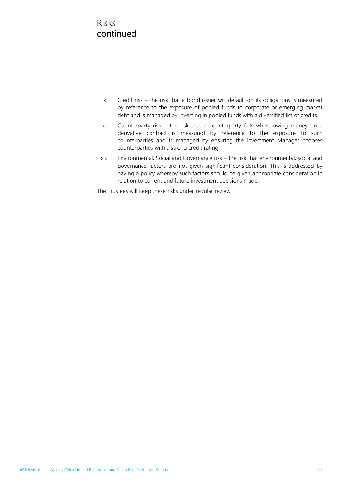### Risks continued

- x. Credit risk the risk that a bond issuer will default on its obligations is measured by reference to the exposure of pooled funds to corporate or emerging market debt and is managed by investing in pooled funds with a diversified list of credits.
- xi. Counterparty risk the risk that a counterparty fails whilst owing money on a derivative contract is measured by reference to the exposure to such counterparties and is managed by ensuring the Investment Manager chooses counterparties with a strong credit rating.
- xii. Environmental, Social and Governance risk the risk that environmental, social and governance factors are not given significant consideration. This is addressed by having a policy whereby such factors should be given appropriate consideration in relation to current and future investment decisions made.

The Trustees will keep these risks under regular review.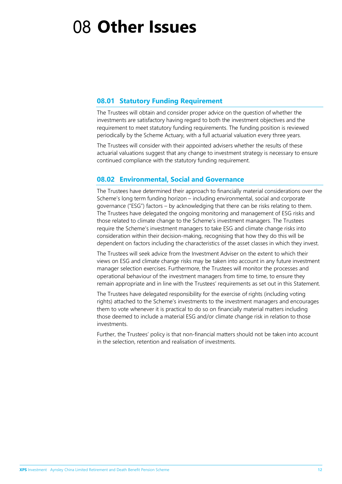## 08 **Other Issues**

#### **08.01 Statutory Funding Requirement**

The Trustees will obtain and consider proper advice on the question of whether the investments are satisfactory having regard to both the investment objectives and the requirement to meet statutory funding requirements. The funding position is reviewed periodically by the Scheme Actuary, with a full actuarial valuation every three years.

The Trustees will consider with their appointed advisers whether the results of these actuarial valuations suggest that any change to investment strategy is necessary to ensure continued compliance with the statutory funding requirement.

#### **08.02 Environmental, Social and Governance**

The Trustees have determined their approach to financially material considerations over the Scheme's long term funding horizon – including environmental, social and corporate governance ("ESG") factors – by acknowledging that there can be risks relating to them. The Trustees have delegated the ongoing monitoring and management of ESG risks and those related to climate change to the Scheme's investment managers. The Trustees require the Scheme's investment managers to take ESG and climate change risks into consideration within their decision-making, recognising that how they do this will be dependent on factors including the characteristics of the asset classes in which they invest.

The Trustees will seek advice from the Investment Adviser on the extent to which their views on ESG and climate change risks may be taken into account in any future investment manager selection exercises. Furthermore, the Trustees will monitor the processes and operational behaviour of the investment managers from time to time, to ensure they remain appropriate and in line with the Trustees' requirements as set out in this Statement.

The Trustees have delegated responsibility for the exercise of rights (including voting rights) attached to the Scheme's investments to the investment managers and encourages them to vote whenever it is practical to do so on financially material matters including those deemed to include a material ESG and/or climate change risk in relation to those investments.

Further, the Trustees' policy is that non-financial matters should not be taken into account in the selection, retention and realisation of investments.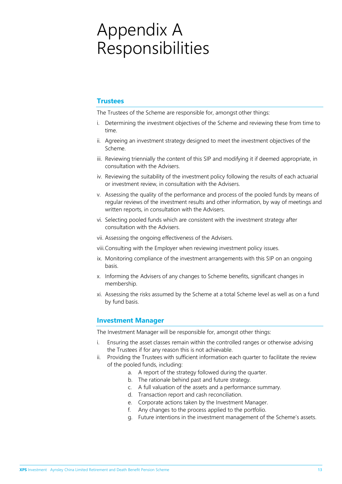## Appendix A Responsibilities

#### **Trustees**

The Trustees of the Scheme are responsible for, amongst other things:

- i. Determining the investment objectives of the Scheme and reviewing these from time to time.
- ii. Agreeing an investment strategy designed to meet the investment objectives of the Scheme.
- iii. Reviewing triennially the content of this SIP and modifying it if deemed appropriate, in consultation with the Advisers.
- iv. Reviewing the suitability of the investment policy following the results of each actuarial or investment review, in consultation with the Advisers.
- v. Assessing the quality of the performance and process of the pooled funds by means of regular reviews of the investment results and other information, by way of meetings and written reports, in consultation with the Advisers.
- vi. Selecting pooled funds which are consistent with the investment strategy after consultation with the Advisers.
- vii. Assessing the ongoing effectiveness of the Advisers.
- viii.Consulting with the Employer when reviewing investment policy issues.
- ix. Monitoring compliance of the investment arrangements with this SIP on an ongoing basis.
- x. Informing the Advisers of any changes to Scheme benefits, significant changes in membership.
- xi. Assessing the risks assumed by the Scheme at a total Scheme level as well as on a fund by fund basis.

#### **Investment Manager**

The Investment Manager will be responsible for, amongst other things:

- i. Ensuring the asset classes remain within the controlled ranges or otherwise advising the Trustees if for any reason this is not achievable.
- ii. Providing the Trustees with sufficient information each quarter to facilitate the review of the pooled funds, including:
	- a. A report of the strategy followed during the quarter.
	- b. The rationale behind past and future strategy.
	- c. A full valuation of the assets and a performance summary.
	- d. Transaction report and cash reconciliation.
	- e. Corporate actions taken by the Investment Manager.
	- f. Any changes to the process applied to the portfolio.
	- g. Future intentions in the investment management of the Scheme's assets.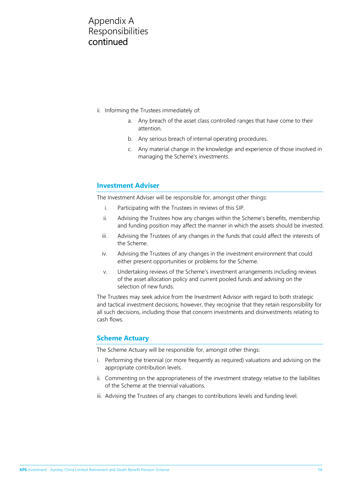### Appendix A Responsibilities continued

- ii. Informing the Trustees immediately of:
	- a. Any breach of the asset class controlled ranges that have come to their attention.
	- b. Any serious breach of internal operating procedures.
	- c. Any material change in the knowledge and experience of those involved in managing the Scheme's investments.

#### **Investment Adviser**

The Investment Adviser will be responsible for, amongst other things:

- i. Participating with the Trustees in reviews of this SIP.
- ii. Advising the Trustees how any changes within the Scheme's benefits, membership and funding position may affect the manner in which the assets should be invested.
- iii. Advising the Trustees of any changes in the funds that could affect the interests of the Scheme.
- iv. Advising the Trustees of any changes in the investment environment that could either present opportunities or problems for the Scheme.
- v. Undertaking reviews of the Scheme's investment arrangements including reviews of the asset allocation policy and current pooled funds and advising on the selection of new funds.

The Trustees may seek advice from the Investment Advisor with regard to both strategic and tactical investment decisions; however, they recognise that they retain responsibility for all such decisions, including those that concern investments and disinvestments relating to cash flows.

#### **Scheme Actuary**

The Scheme Actuary will be responsible for, amongst other things:

- i. Performing the triennial (or more frequently as required) valuations and advising on the appropriate contribution levels.
- ii. Commenting on the appropriateness of the investment strategy relative to the liabilities of the Scheme at the triennial valuations.
- iii. Advising the Trustees of any changes to contributions levels and funding level.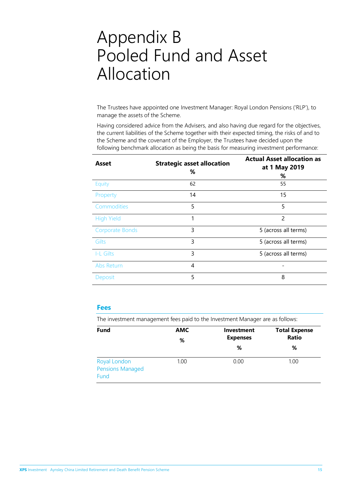### Appendix B Pooled Fund and Asset Allocation

The Trustees have appointed one Investment Manager: Royal London Pensions ('RLP'), to manage the assets of the Scheme.

Having considered advice from the Advisers, and also having due regard for the objectives, the current liabilities of the Scheme together with their expected timing, the risks of and to the Scheme and the covenant of the Employer, the Trustees have decided upon the following benchmark allocation as being the basis for measuring investment performance:

| Asset                  | <b>Strategic asset allocation</b><br>℅ | <b>Actual Asset allocation as</b><br>at 1 May 2019<br>% |
|------------------------|----------------------------------------|---------------------------------------------------------|
| Equity                 | 62                                     | 55                                                      |
| Property               | 14                                     | 15                                                      |
| Commodities            | 5                                      | 5                                                       |
| <b>High Yield</b>      | 1                                      | $\mathcal{P}$                                           |
| <b>Corporate Bonds</b> | 3                                      | 5 (across all terms)                                    |
| <b>Gilts</b>           | 3                                      | 5 (across all terms)                                    |
| I-L Gilts              | 3                                      | 5 (across all terms)                                    |
| Abs Return             | 4                                      |                                                         |
| Deposit                | 5                                      | 8                                                       |

#### **Fees**

The investment management fees paid to the Investment Manager are as follows:

| <b>Fund</b>                                     | <b>AMC</b><br>%   | <b>Investment</b><br><b>Expenses</b> | <b>Total Expense</b><br><b>Ratio</b> |
|-------------------------------------------------|-------------------|--------------------------------------|--------------------------------------|
|                                                 |                   | %                                    | %                                    |
| Royal London<br><b>Pensions Managed</b><br>Fund | 1.00 <sub>1</sub> | 0.00                                 | 1.00                                 |